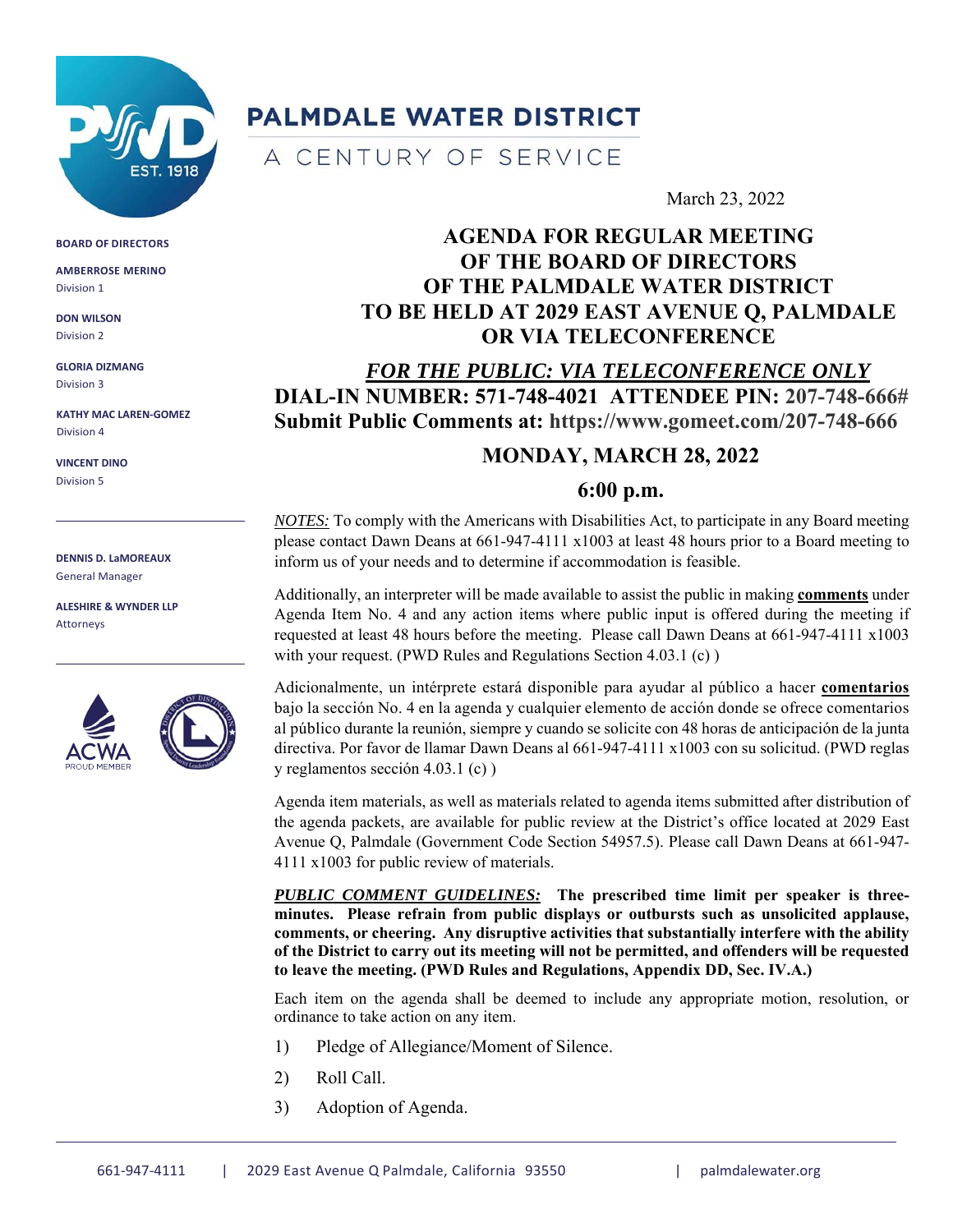

# **PALMDALE WATER DISTRICT**

A CENTURY OF SERVICE

#### March 23, 2022

# **AGENDA FOR REGULAR MEETING OF THE BOARD OF DIRECTORS OF THE PALMDALE WATER DISTRICT TO BE HELD AT 2029 EAST AVENUE Q, PALMDALE OR VIA TELECONFERENCE**

*FOR THE PUBLIC: VIA TELECONFERENCE ONLY*  **DIAL-IN NUMBER: 571-748-4021 ATTENDEE PIN: 207-748-666# Submit Public Comments at: https://www.gomeet.com/207-748-666** 

## **MONDAY, MARCH 28, 2022**

### **6:00 p.m.**

*NOTES:* To comply with the Americans with Disabilities Act, to participate in any Board meeting please contact Dawn Deans at 661-947-4111 x1003 at least 48 hours prior to a Board meeting to inform us of your needs and to determine if accommodation is feasible.

Additionally, an interpreter will be made available to assist the public in making **comments** under Agenda Item No. 4 and any action items where public input is offered during the meeting if requested at least 48 hours before the meeting. Please call Dawn Deans at 661-947-4111 x1003 with your request. (PWD Rules and Regulations Section 4.03.1 (c))

Adicionalmente, un intérprete estará disponible para ayudar al público a hacer **comentarios** bajo la sección No. 4 en la agenda y cualquier elemento de acción donde se ofrece comentarios al público durante la reunión, siempre y cuando se solicite con 48 horas de anticipación de la junta directiva. Por favor de llamar Dawn Deans al 661-947-4111 x1003 con su solicitud. (PWD reglas y reglamentos sección 4.03.1 (c) )

Agenda item materials, as well as materials related to agenda items submitted after distribution of the agenda packets, are available for public review at the District's office located at 2029 East Avenue Q, Palmdale (Government Code Section 54957.5). Please call Dawn Deans at 661-947- 4111 x1003 for public review of materials.

*PUBLIC COMMENT GUIDELINES:* **The prescribed time limit per speaker is threeminutes. Please refrain from public displays or outbursts such as unsolicited applause, comments, or cheering. Any disruptive activities that substantially interfere with the ability of the District to carry out its meeting will not be permitted, and offenders will be requested to leave the meeting. (PWD Rules and Regulations, Appendix DD, Sec. IV.A.)** 

Each item on the agenda shall be deemed to include any appropriate motion, resolution, or ordinance to take action on any item.

- 1) Pledge of Allegiance/Moment of Silence.
- 2) Roll Call.
- 3) Adoption of Agenda.

**BOARD OF DIRECTORS**

**AMBERROSE MERINO** Division 1

**DON WILSON** Division 2

**GLORIA DIZMANG** Division 3

**KATHY MAC LAREN‐GOMEZ** Division 4

**VINCENT DINO** Division 5

**DENNIS D. LaMOREAUX** General Manager

**ALESHIRE & WYNDER LLP** Attorneys



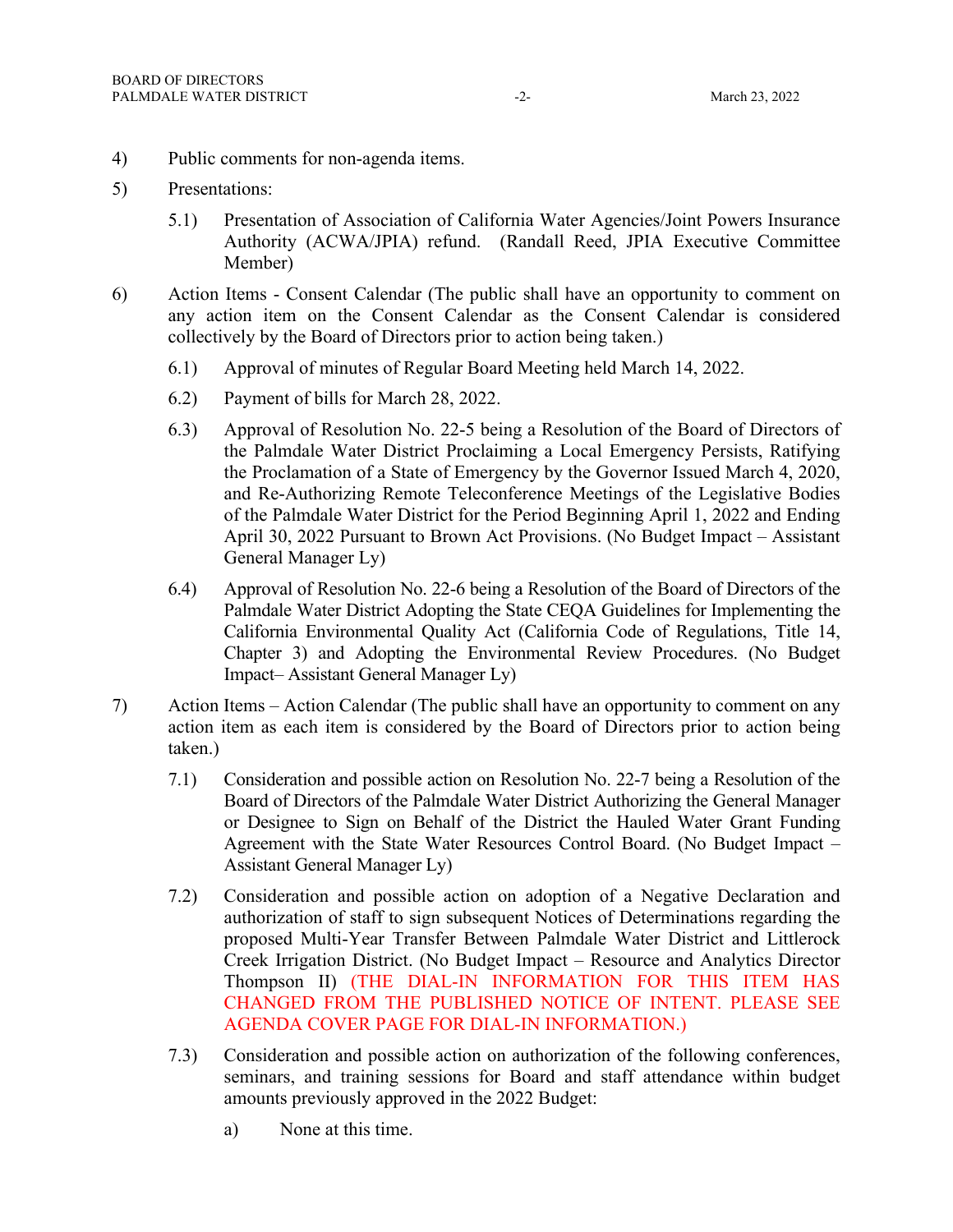- 4) Public comments for non-agenda items.
- 5) Presentations:
	- 5.1) Presentation of Association of California Water Agencies/Joint Powers Insurance Authority (ACWA/JPIA) refund. (Randall Reed, JPIA Executive Committee Member)
- 6) Action Items Consent Calendar (The public shall have an opportunity to comment on any action item on the Consent Calendar as the Consent Calendar is considered collectively by the Board of Directors prior to action being taken.)
	- 6.1) Approval of minutes of Regular Board Meeting held March 14, 2022.
	- 6.2) Payment of bills for March 28, 2022.
	- 6.3) Approval of Resolution No. 22-5 being a Resolution of the Board of Directors of the Palmdale Water District Proclaiming a Local Emergency Persists, Ratifying the Proclamation of a State of Emergency by the Governor Issued March 4, 2020, and Re-Authorizing Remote Teleconference Meetings of the Legislative Bodies of the Palmdale Water District for the Period Beginning April 1, 2022 and Ending April 30, 2022 Pursuant to Brown Act Provisions. (No Budget Impact – Assistant General Manager Ly)
	- 6.4) Approval of Resolution No. 22-6 being a Resolution of the Board of Directors of the Palmdale Water District Adopting the State CEQA Guidelines for Implementing the California Environmental Quality Act (California Code of Regulations, Title 14, Chapter 3) and Adopting the Environmental Review Procedures. (No Budget Impact– Assistant General Manager Ly)
- 7) Action Items Action Calendar (The public shall have an opportunity to comment on any action item as each item is considered by the Board of Directors prior to action being taken.)
	- 7.1) Consideration and possible action on Resolution No. 22-7 being a Resolution of the Board of Directors of the Palmdale Water District Authorizing the General Manager or Designee to Sign on Behalf of the District the Hauled Water Grant Funding Agreement with the State Water Resources Control Board. (No Budget Impact – Assistant General Manager Ly)
	- 7.2) Consideration and possible action on adoption of a Negative Declaration and authorization of staff to sign subsequent Notices of Determinations regarding the proposed Multi-Year Transfer Between Palmdale Water District and Littlerock Creek Irrigation District. (No Budget Impact – Resource and Analytics Director Thompson II) (THE DIAL-IN INFORMATION FOR THIS ITEM HAS CHANGED FROM THE PUBLISHED NOTICE OF INTENT. PLEASE SEE AGENDA COVER PAGE FOR DIAL-IN INFORMATION.)
	- 7.3) Consideration and possible action on authorization of the following conferences, seminars, and training sessions for Board and staff attendance within budget amounts previously approved in the 2022 Budget:
		- a) None at this time.